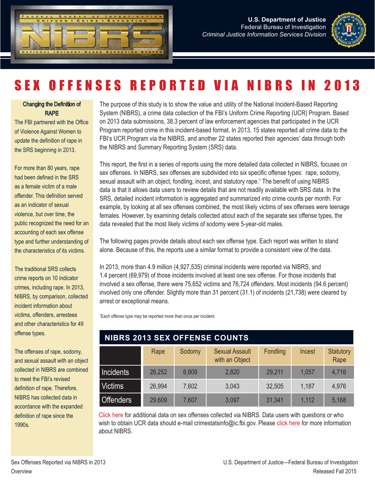



#### Changing the Definition of RAPE

The FBI partnered with the Office of Violence Against Women to update the definition of rape in the SRS beginning in 2013.

For more than 80 years, rape had been defined in the SRS as a female victim of a male offender. This definition served as an indicator of sexual violence, but over time, the public recognized the need for an accounting of each sex offense type and further understanding of the characteristics of its victims.

The traditional SRS collects crime reports on 10 indicator crimes, including rape. In 2013, NIBRS, by comparison, collected incident information about victims, offenders, arrestees and other characteristics for 49 offense types.

The offenses of rape, sodomy, and sexual assault with an object collected in NIBRS are combined to meet the FBI's revised definition of rape. Therefore, NIBRS has collected data in accordance with the expanded definition of rape since the 1990s.

The purpose of this study is to show the value and utility of the National Incident-Based Reporting System (NIBRS), a crime data collection of the FBI's Uniform Crime Reporting (UCR) Program. Based on 2013 data submissions, 38.3 percent of law enforcement agencies that participated in the UCR Program reported crime in this incident-based format. In 2013, 15 states reported all crime data to the FBI's UCR Program via the NIBRS, and another 22 states reported their agencies' data through both the NIBRS and Summary Reporting System (SRS) data.

This report, the first in a series of reports using the more detailed data collected in NIBRS, focuses on sex offenses. In NIBRS, sex offenses are subdivided into six specific offense types: rape, sodomy, sexual assault with an object, fondling, incest, and statutory rape.<sup>1</sup> The benefit of using NIBRS data is that it allows data users to review details that are not readily available with SRS data. In the SRS, detailed incident information is aggregated and summarized into crime counts per month. For example, by looking at all sex offenses combined, the most likely victims of sex offenses were teenage females. However, by examining details collected about each of the separate sex offense types, the data revealed that the most likely victims of sodomy were 5-year-old males.

The following pages provide details about each sex offense type. Each report was written to stand alone. Because of this, the reports use a similar format to provide a consistent view of the data.

In 2013, more than 4.9 million (4,927,535) criminal incidents were reported via NIBRS, and 1.4 percent (69,979) of those incidents involved at least one sex offense. For those incidents that involved a sex offense, there were 75,652 victims and 76,724 offenders. Most incidents (94.6 percent) involved only one offender. Slightly more than 31 percent (31.1) of incidents (21,738) were cleared by arrest or exceptional means.

1 Each offense type may be reported more than once per incident.

### **NIBRS 2013 SEX OFFENSE COUNTS**

|                  | Rape   | Sodomy | <b>Sexual Assault</b><br>with an Object | Fondling | Incest | <b>Statutory</b><br>Rape |
|------------------|--------|--------|-----------------------------------------|----------|--------|--------------------------|
| <b>Incidents</b> | 26,252 | 6,909  | 2,820                                   | 29,211   | 1,057  | 4,716                    |
| <b>Victims</b>   | 26,994 | 7,602  | 3,043                                   | 32,505   | 1,187  | 4,976                    |
| <b>Offenders</b> | 29,609 | 7,607  | 3,097                                   | 31,341   | 1.112  | 5,168                    |

[Click here](https://www.fbi.gov/about-us/cjis/ucr/nibrs/2013) for additional data on sex offenses collected via NIBRS. Data users with questions or who wish to obtain UCR data should e-mail crimestatsinfo@ic.fbi.gov. Please [click here](https://www.fbi.gov/about-us/cjis/ucr/nibrs/2013/resources/frequently-asked-questions-about-nibrs-individual-agency-data) for more information about NIBRS.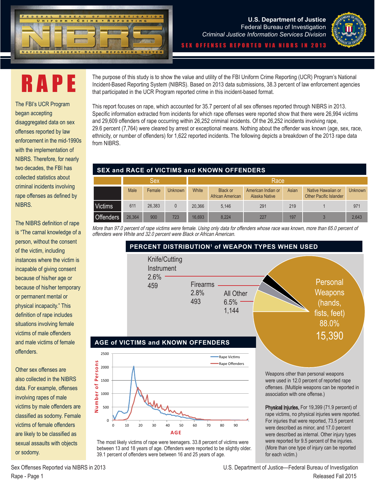



RAPE

The FBI's UCR Program began accepting disaggregated data on sex offenses reported by law enforcement in the mid-1990s with the implementation of NIBRS. Therefore, for nearly two decades, the FBI has collected statistics about criminal incidents involving rape offenses as defined by NIBRS.

The NIBRS definition of rape is "The carnal knowledge of a person, without the consent of the victim, including instances where the victim is incapable of giving consent because of his/her age or because of his/her temporary or permanent mental or physical incapacity." This definition of rape includes situations involving female victims of male offenders and male victims of female offenders.

Other sex offenses are also collected in the NIBRS data. For example, offenses involving rapes of male victims by male offenders are classified as sodomy. Female victims of female offenders are likely to be classified as sexual assaults with objects or sodomy.

The purpose of this study is to show the value and utility of the FBI Uniform Crime Reporting (UCR) Program's National Incident-Based Reporting System (NIBRS). Based on 2013 data submissions, 38.3 percent of law enforcement agencies that participated in the UCR Program reported crime in this incident-based format.

This report focuses on rape, which accounted for 35.7 percent of all sex offenses reported through NIBRS in 2013. Specific information extracted from incidents for which rape offenses were reported show that there were 26,994 victims and 29,609 offenders of rape occurring within 26,252 criminal incidents. Of the 26,252 incidents involving rape, 29.6 percent (7,764) were cleared by arrest or exceptional means. Nothing about the offender was known (age, sex, race, ethnicity, or number of offenders) for 1,622 reported incidents. The following depicts a breakdown of the 2013 rape data from NIBRS.

#### **SEX and RACE of VICTIMS and KNOWN OFFENDERS**

|                  | Sex    |        |                |        | Race                         |                                     |       |                                                     |                |
|------------------|--------|--------|----------------|--------|------------------------------|-------------------------------------|-------|-----------------------------------------------------|----------------|
|                  | Male   | Female | <b>Unknown</b> | White  | Black or<br>African American | American Indian or<br>Alaska Native | Asian | Native Hawaiian or<br><b>Other Pacific Islander</b> | <b>Unknown</b> |
| Victims          | 611    | 26,383 |                | 20.366 | 5.146                        | 291                                 | 219   |                                                     | 971            |
| <b>Offenders</b> | 26,364 | 900    | 723            | 16.693 | 8.224                        | 227                                 | 197   |                                                     | 2.643          |

More than 97.0 percent of rape victims were female. Using only data for offenders whose race was known, more than 65.0 percent of offenders were White and 32.0 percent were Black or African American.



The most likely victims of rape were teenagers. 33.8 percent of victims were between 13 and 18 years of age. Offenders were reported to be slightly older. 39.1 percent of offenders were between 16 and 25 years of age.

0 10 20 30 40 50 60 70 80 90

**AGE**

For injuries that were reported, 73.5 percent were described as minor, and 17.0 percent were described as internal. Other injury types were reported for 9.5 percent of the injuries. (More than one type of injury can be reported for each victim.)

Sex Offenses Reported via NIBRS in 2013 U.S. Department of Justice—Federal Bureau of Investigation Rape - Page 1 Released Fall 2015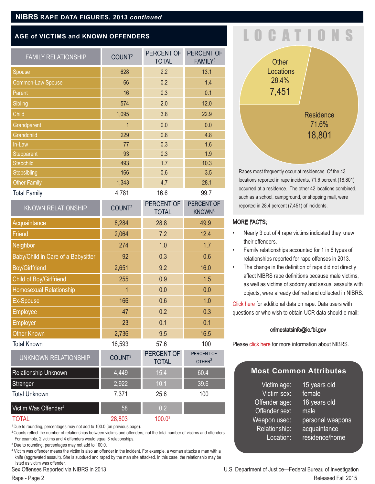#### **NIBRS RAPE DATA FIGURES, 2013** *continued*

#### **AGE of VICTIMS and KNOWN OFFENDERS**

| <b>FAMILY RELATIONSHIP</b>         | COUNT <sup>2</sup> | PERCENT OF<br><b>TOTAL</b> | PERCENT OF<br>FAMILY <sup>3</sup> |
|------------------------------------|--------------------|----------------------------|-----------------------------------|
| Spouse                             | 628                | 2.2                        | 13.1                              |
| Common-Law Spouse                  | 66                 | 0.2                        | 1.4                               |
| Parent                             | 16                 | 0.3                        | 0.1                               |
| Sibling                            | 574                | 2.0                        | 12.0                              |
| Child                              | 1,095              | 3.8                        | 22.9                              |
| Grandparent                        | 1                  | 0.0                        | 0.0                               |
| Grandchild                         | 229                | 0.8                        | 4.8                               |
| In-Law                             | 77                 | 0.3                        | 1.6                               |
| Stepparent                         | 93                 | 0.3                        | 1.9                               |
| Stepchild                          | 493                | 1.7                        | 10.3                              |
| Stepsibling                        | 166                | 0.6                        | 3.5                               |
| <b>Other Family</b>                | 1,343              | 4.7                        | 28.1                              |
| <b>Total Family</b>                | 4,781              | 16.6                       | 99.7                              |
| <b>KNOWN RELATIONSHIP</b>          | COUNT <sup>2</sup> | PERCENT OF<br><b>TOTAL</b> | PERCENT OF<br>KNOWN <sup>3</sup>  |
| Acquaintance                       | 8,284              | 28.8                       | 49.9                              |
| Friend                             | 2,064              | 7.2                        | 12.4                              |
| Neighbor                           | 274                | 1.0                        | 1.7                               |
| Baby/Child in Care of a Babysitter | 92                 | 0.3                        | 0.6                               |
| <b>Boy/Girlfriend</b>              | 2,651              | 9.2                        | 16.0                              |
| Child of Boy/Girlfriend            | 255                | 0.9                        | 1.5                               |
| <b>Homosexual Relationship</b>     | 1                  | 0.0                        | 0.0                               |
| <b>Ex-Spouse</b>                   | 166                | 0.6                        | 1.0                               |
| Employee                           | 47                 | 0.2                        | 0.3                               |
| <b>Employer</b>                    | 23                 | 0.1                        | 0.1                               |
| <b>Other Known</b>                 | 2,736              | 9.5                        | 16.5                              |
| <b>Total Known</b>                 | 16,593             | 57.6                       | 100                               |
| <b>UNKNOWN RELATIONSHIP</b>        | COUNT <sup>2</sup> | PERCENT OF<br><b>TOTAL</b> | PERCENT OF<br>OTHER <sup>3</sup>  |
| Relationship Unknown               | 4,449              | 15.4                       | 60.4                              |
| Stranger                           | 2,922              | 10.1                       | 39.6                              |
| <b>Total Unknown</b>               | 7,371              | 25.6                       | 100                               |
| Victim Was Offender <sup>4</sup>   | 58                 | 0.2                        |                                   |
| <b>TOTAL</b>                       | 28,803             | 100.0 <sup>3</sup>         |                                   |

<sup>1</sup> Due to rounding, percentages may not add to 100.0 (on previous page).

<sup>2</sup> Counts reflect the number of relationships between victims and offenders, not the total number of victims and offenders. For example, 2 victims and 4 offenders would equal 8 relationships.

3 Due to rounding, percentages may not add to 100.0.

4 Victim was offender means the victim is also an offender in the incident. For example, a woman attacks a man with a knife (aggravated assault). She is subdued and raped by the man she attacked. In this case, the relationship may be listed as victim was offender.

### LOCATIO



Rapes most frequently occur at residences. Of the 43 locations reported in rape incidents, 71.6 percent (18,801) occurred at a residence. The other 42 locations combined, such as a school, campground, or shopping mall, were reported in 28.4 percent (7,451) of incidents.

#### MORE FACTS:

- Nearly 3 out of 4 rape victims indicated they knew their offenders.
- Family relationships accounted for 1 in 6 types of relationships reported for rape offenses in 2013.
- The change in the definition of rape did not directly affect NIBRS rape definitions because male victims, as well as victims of sodomy and sexual assaults with objects, were already defined and collected in NIBRS.

[Click here f](https://www.fbi.gov/about-us/cjis/ucr/nibrs/2013)or additional data on rape. Data users with questions or who wish to obtain UCR data should e-mail:

#### crimestatsinfo@ic.fbi.gov

Please [click here f](https://www.fbi.gov/about-us/cjis/ucr/nibrs/2013/resources/frequently-asked-questions-about-nibrs-individual-agency-data)or more information about NIBRS.

#### **Most Common Attributes**

Victim age: 15 years old Victim sex: female Offender age: 18 years old Offender sex: male Weapon used: personal weapons Relationship: acquaintance Location: residence/home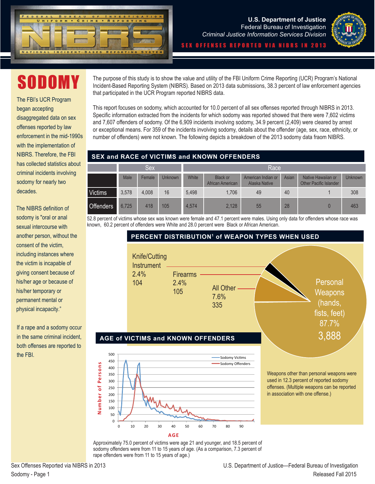



# SODOMY

The FBI's UCR Program began accepting disaggregated data on sex offenses reported by law enforcement in the mid-1990s with the implementation of NIBRS. Therefore, the FBI has collected statistics about criminal incidents involving sodomy for nearly two decades.

The NIBRS definition of sodomy is "oral or anal sexual intercourse with another person, without the consent of the victim, including instances where the victim is incapable of giving consent because of his/her age or because of his/her temporary or permanent mental or physical incapacity."

If a rape and a sodomy occur in the same criminal incident, both offenses are reported to the FBI.

The purpose of this study is to show the value and utility of the FBI Uniform Crime Reporting (UCR) Program's National Incident-Based Reporting System (NIBRS). Based on 2013 data submissions, 38.3 percent of law enforcement agencies that participated in the UCR Program reported NIBRS data.

This report focuses on sodomy, which accounted for 10.0 percent of all sex offenses reported through NIBRS in 2013. Specific information extracted from the incidents for which sodomy was reported showed that there were 7,602 victims and 7,607 offenders of sodomy. Of the 6,909 incidents involving sodomy, 34.9 percent (2,409) were cleared by arrest or exceptional means. For 359 of the incidents involving sodomy, details about the offender (age, sex, race, ethnicity, or number of offenders) were not known. The following depicts a breakdown of the 2013 sodomy data fraom NIBRS.

#### **SEX and RACE of VICTIMS and KNOWN OFFENDERS**

|                  | Sex.  |        |         |       | Race                                |                                            |       |                                                     |                |
|------------------|-------|--------|---------|-------|-------------------------------------|--------------------------------------------|-------|-----------------------------------------------------|----------------|
|                  | Male  | Female | Unknown | White | <b>Black or</b><br>African American | American Indian or<br><b>Alaska Native</b> | Asian | Native Hawaiian or<br><b>Other Pacific Islander</b> | <b>Unknown</b> |
| Victims          | 3.578 | 4.008  | 16      | 5.498 | 1.706                               | 49                                         | 40    |                                                     | 308            |
| <b>Offenders</b> | 6.725 | 418    | 105     | 4,574 | 2,128                               | 55                                         | 28    |                                                     | 463            |

52.8 percent of victims whose sex was known were female and 47.1 percent were males. Using only data for offenders whose race was known, 60.2 percent of offenders were White and 28.0 percent were Black or African American.



Approximately 75.0 percent of victims were age 21 and younger, and 18.5 percent of sodomy offenders were from 11 to 15 years of age. (As a comparison, 7.3 percent of rape offenders were from 11 to 15 years of age.)

**Number of Persons**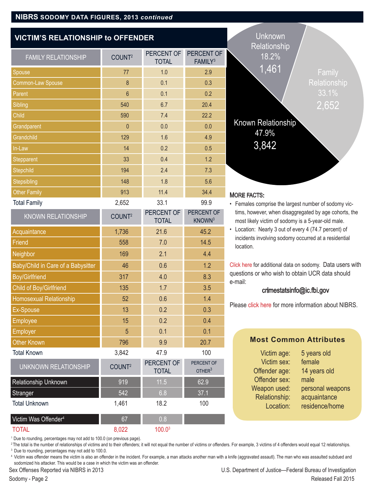#### **VICTIM'S RELATIONSHIP to OFFENDER**

| <b>FAMILY RELATIONSHIP</b>         | COUNT <sup>2</sup> | PERCENT OF<br><b>TOTAL</b> | PERCENT OF<br>FAMILY <sup>3</sup> |
|------------------------------------|--------------------|----------------------------|-----------------------------------|
| Spouse                             | 77                 | 1.0                        | 2.9                               |
| Common-Law Spouse                  | $\delta$           | 0.1                        | 0.3                               |
| Parent                             | $6\phantom{a}$     | 0.1                        | 0.2                               |
| Sibling                            | 540                | 6.7                        | 20.4                              |
| Child                              | 590                | 7.4                        | 22.2                              |
| Grandparent                        | $\mathbf{0}$       | 0.0                        | 0.0                               |
| Grandchild                         | 129                | 1.6                        | 4.9                               |
| In-Law                             | 14                 | 0.2                        | 0.5                               |
| <b>Stepparent</b>                  | 33                 | 0.4                        | 1.2                               |
| <b>Stepchild</b>                   | 194                | 2.4                        | 7.3                               |
| <b>Stepsibling</b>                 | 148                | 1.8                        | 5.6                               |
| Other Family                       | 913                | 11.4                       | 34.4                              |
| <b>Total Family</b>                | 2,652              | 33.1                       | 99.9                              |
| <b>KNOWN RELATIONSHIP</b>          | COUNT <sup>2</sup> | PERCENT OF<br><b>TOTAL</b> | PERCENT OF<br>KNOWN <sup>3</sup>  |
| Acquaintance                       | 1,736              | 21.6                       | 45.2                              |
| <b>Friend</b>                      | 558                | 7.0                        | 14.5                              |
| Neighbor                           | 169                | 2.1                        | 4.4                               |
| Baby/Child in Care of a Babysitter | 46                 | 0.6                        | 1.2                               |
| <b>Boy/Girlfriend</b>              | 317                | 4.0                        | 8.3                               |
| Child of Boy/Girlfriend            | 135                | 1.7                        | 3.5                               |
| <b>Homosexual Relationship</b>     | 52                 | 0.6                        | 1.4                               |
| Ex-Spouse                          | 13                 | 0.2                        | 0.3                               |
| Employee                           | 15                 | 0.2                        | 0.4                               |
| Employer                           | 5                  | 0.1                        | 0.1                               |
| <b>Other Known</b>                 | 796                | 9.9                        | 20.7                              |
| <b>Total Known</b>                 | 3,842              | 47.9                       | 100                               |
| UNKNOWN RELATIONSHIP               | COUNT <sup>2</sup> | PERCENT OF<br><b>TOTAL</b> | PERCENT OF<br>OTHER <sup>3</sup>  |
| Relationship Unknown               | 919                | 11.5                       | 62.9                              |
| Stranger                           | 542                | 6.8                        | 37.1                              |
| <b>Total Unknown</b>               | 1,461              | 18.2                       | 100                               |
| Victim Was Offender <sup>4</sup>   | 67                 | 0.8                        |                                   |
| <b>TOTAL</b>                       | 8,022              | 100.0 <sup>3</sup>         |                                   |



#### **IORE FACTS:**

- Females comprise the largest number of sodomy victims, however, when disaggregated by age cohorts, the most likely victim of sodomy is a 5-year-old male.
- Location: Nearly 3 out of every 4 (74.7 percent) of incidents involving sodomy occurred at a residential location.

[Click here f](https://www.fbi.gov/about-us/cjis/ucr/nibrs/2013)or additional data on sodomy. Data users with questions or who wish to obtain UCR data should e-mail:

#### crimestatsinfo@ic.fbi.gov

Please [click here](https://www.fbi.gov/about-us/cjis/ucr/nibrs/2013/resources/frequently-asked-questions-about-nibrs-individual-agency-data) for more information about NIBRS.

#### **Most Common Attributes**

| Victim age:   | 5 years old      |
|---------------|------------------|
| Victim sex:   | female           |
| Offender age: | 14 years old     |
| Offender sex: | male             |
| Weapon used:  | personal weapons |
| Relationship: | acquaintance     |
| Location:     | residence/home   |
|               |                  |

<sup>1</sup> Due to rounding, percentages may not add to 100.0 (on previous page).

<sup>2</sup>The total is the number of relationships of victims and to their offenders; it will not equal the number of victims or offenders. For example, 3 victims of 4 offenders would equal 12 relationships. <sup>3</sup> Due to rounding, percentages may not add to 100.0.

<sup>4</sup> Victim was offender means the victim is also an offender in the incident. For example, a man attacks another man with a knife (aggravated assautl). The man who was assaulted subdued and sodomized his attacker. This would be a case in which the victim was an offender.

Sex Offenses Reported via NIBRS in 2013 U.S. Department of Justice—Federal Bureau of Investigation Sodomy - Page 2 Released Fall 2015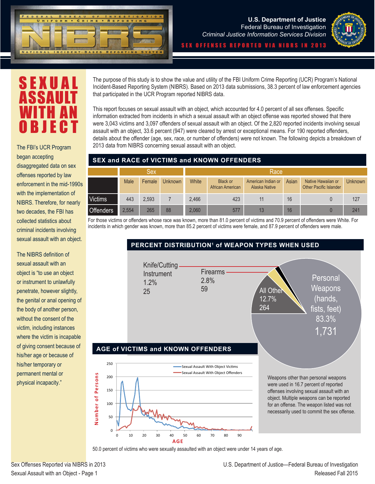



S E X U A I ASSAI WITH AN OBJECT

began accepting disaggregated data on sex offenses reported by law enforcement in the mid-1990s with the implementation of NIBRS. Therefore, for nearly two decades, the FBI has collected statistics about criminal incidents involving sexual assault with an object.

The NIBRS definition of sexual assault with an object is "to use an object or instrument to unlawfully penetrate, however slightly, the genital or anal opening of the body of another person, without the consent of the victim, including instances where the victim is incapable of giving consent because of his/her age or because of his/her temporary or permanent mental or physical incapacity."

The purpose of this study is to show the value and utility of the FBI Uniform Crime Reporting (UCR) Program's National Incident-Based Reporting System (NIBRS). Based on 2013 data submissions, 38.3 percent of law enforcement agencies that participated in the UCR Program reported NIBRS data.

This report focuses on sexual assault with an object, which accounted for 4.0 percent of all sex offenses. Specific information extracted from incidents in which a sexual assault with an object offense was reported showed that there were 3,043 victims and 3,097 offenders of sexual assault with an object. Of the 2,820 reported incidents involving sexual assault with an object, 33.6 percent (947) were cleared by arrest or exceptional means. For 190 reported offenders, details about the offender (age, sex, race, or number of offenders) were not known. The following depicts a breakdown of 2013 data from NIBRS concerning sexual assault with an object. The FBI's UCR Program

#### **SEX and RACE of VICTIMS and KNOWN OFFENDERS**

|                  | Sex         |        |                |       | Race                                |                                     |       |                                                     |         |
|------------------|-------------|--------|----------------|-------|-------------------------------------|-------------------------------------|-------|-----------------------------------------------------|---------|
|                  | <b>Male</b> | Female | <b>Unknown</b> | White | <b>Black or</b><br>African American | American Indian or<br>Alaska Native | Asian | Native Hawaiian or<br><b>Other Pacific Islander</b> | Unknown |
| <b>Victims</b>   | 443         | 2.593  |                | 2.466 | 423                                 |                                     | 16    |                                                     | 127     |
| <b>Offenders</b> | 2.554       | 265    | 88             | 2,060 | 577                                 | 13                                  | 16    |                                                     | 241     |

For those victims or offenders whose race was known, more than 81.0 percent of victims and 70.9 percent of offenders were White. For incidents in which gender was known, more than 85.2 percent of victims were female, and 87.9 percent of offenders were male.



50.0 percent of victims who were sexually assaulted with an object were under 14 years of age.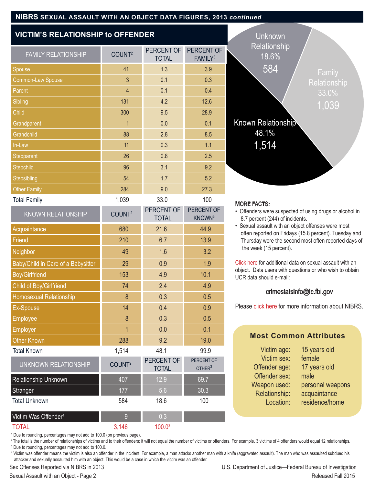#### **NIBRS SEXUAL ASSAULT WITH AN OBJECT DATA FIGURES, 2013** *continued*

#### **VICTIM'S RELATIONSHIP to OFFENDER**

| <b>FAMILY RELATIONSHIP</b>         | COUNT <sup>2</sup> | PERCENT OF<br><b>TOTAL</b> | PERCENT OF<br>FAMILY <sup>3</sup> |
|------------------------------------|--------------------|----------------------------|-----------------------------------|
| Spouse                             | 41                 | 1.3                        | 3.9                               |
| Common-Law Spouse                  | $\overline{3}$     | 0.1                        | 0.3                               |
| Parent                             | $\overline{4}$     | 0.1                        | 0.4                               |
| Sibling                            | 131                | 4.2                        | 12.6                              |
| Child                              | 300                | 9.5                        | 28.9                              |
| Grandparent                        | $\overline{1}$     | 0.0                        | 0.1                               |
| Grandchild                         | 88                 | 2.8                        | 8.5                               |
| In-Law                             | 11                 | 0.3                        | 1.1                               |
| Stepparent                         | 26                 | 0.8                        | 2.5                               |
| Stepchild                          | 96                 | 3.1                        | 9.2                               |
| Stepsibling                        | 54                 | 1.7                        | 5.2                               |
| <b>Other Family</b>                | 284                | 9.0                        | 27.3                              |
| <b>Total Family</b>                | 1,039              | 33.0                       | 100                               |
| <b>KNOWN RELATIONSHIP</b>          | COUNT <sup>2</sup> | PERCENT OF<br><b>TOTAL</b> | PERCENT OF<br>KNOWN <sup>3</sup>  |
| Acquaintance                       | 680                | 21.6                       | 44.9                              |
| Friend                             | 210                | 6.7                        | 13.9                              |
| Neighbor                           | 49                 | 1.6                        | 3.2                               |
| Baby/Child in Care of a Babysitter | 29                 | 0.9                        | 1.9                               |
| <b>Boy/Girlfriend</b>              | 153                | 4.9                        | 10.1                              |
| Child of Boy/Girlfriend            | 74                 | 2.4                        | 4.9                               |
| Homosexual Relationship            | $\delta$           | 0.3                        | 0.5                               |
| <b>Ex-Spouse</b>                   | 14                 | 0.4                        | 0.9                               |
| <b>Employee</b>                    | 8                  | 0.3                        | 0.5                               |
| <b>Employer</b>                    | $\overline{1}$     | 0.0                        | 0.1                               |

Other Known 288 9.2 19.0 Total Known 1,514 48.1 99.9

Relationship Unknown 1988 107 12.9 69.7 Stranger 177 177 5.6 30.3 Total Unknown 584 18.6 100

UNKNOWN RELATIONSHIP COUNT<sup>2</sup> PERCENT OF



#### MORE FACTS:

- Offenders were suspected of using drugs or alcohol in 8.7 percent (244) of incidents.
- Sexual assault with an object offenses were most often reported on Fridays (15.8 percent). Tuesday and Thursday were the second most often reported days of the week (15 percent).

[Click here](https://www.fbi.gov/about-us/cjis/ucr/nibrs/2013) for additional data on sexual assault with an object. Data users with questions or who wish to obtain UCR data should e-mail:

#### crimestatsinfo@ic.fbi.gov

Please [click here](https://www.fbi.gov/about-us/cjis/ucr/nibrs/2013/resources/frequently-asked-questions-about-nibrs-individual-agency-data) for more information about NIBRS.

#### **Most Common Attributes**

| Victim age:   | 15 years old     |
|---------------|------------------|
| Victim sex:   | female           |
| Offender age: | 17 years old     |
| Offender sex: | male             |
| Weapon used:  | personal weapons |
| Relationship: | acquaintance     |
| Location:     | residence/home   |
|               |                  |

<sup>1</sup> Due to rounding, percentages may not add to 100.0 (on previous page).

Victim Was Offender<sup>4</sup> 0.3  $T$ OTAL  $3,146$   $100.03$ 

<sup>2</sup>The total is the number of relationships of victims and to their offenders; it will not equal the number of victims or offenders. For example, 3 victims of 4 offenders would equal 12 relationships. <sup>3</sup> Due to rounding, percentages may not add to 100.0.

PERCENT OF OTHER<sup>3</sup>

TOTAL

4 Victim was offender means the victim is also an offender in the incident. For example, a man attacks another man with a knife (aggravated assault). The man who was assaulted subdued his attacker and sexually assaulted him with an object. This would be a case in which the victim was an offender.

Sex Offenses Reported via NIBRS in 2013 U.S. Department of Justice—Federal Bureau of Investigation Sexual Assault with an Object - Page 2 **Released Fall 2015 Released Fall 2015**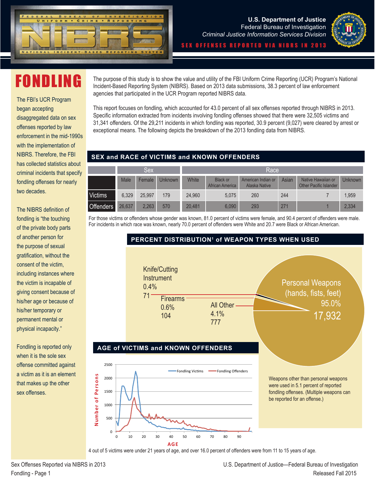



## FONDLING

The FBI's UCR Program began accepting disaggregated data on sex offenses reported by law enforcement in the mid-1990s with the implementation of NIBRS. Therefore, the FBI has collected statistics about criminal incidents that specify fondling offenses for nearly two decades.

The NIBRS definition of fondling is "the touching of the private body parts of another person for the purpose of sexual gratification, without the consent of the victim, including instances where the victim is incapable of giving consent because of his/her age or because of his/her temporary or permanent mental or physical incapacity."

Fondling is reported only when it is the sole sex offense committed against a victim as it is an element that makes up the other sex offenses.

The purpose of this study is to show the value and utility of the FBI Uniform Crime Reporting (UCR) Program's National Incident-Based Reporting System (NIBRS). Based on 2013 data submissions, 38.3 percent of law enforcement agencies that participated in the UCR Program reported NIBRS data.

This report focuses on fondling, which accounted for 43.0 percent of all sex offenses reported through NIBRS in 2013. Specific information extracted from incidents involving fondling offenses showed that there were 32,505 victims and 31,341 offenders. Of the 29,211 incidents in which fondling was reported, 30.9 percent (9,027) were cleared by arrest or exceptional means. The following depicts the breakdown of the 2013 fondling data from NIBRS.

#### **SEX and RACE of VICTIMS and KNOWN OFFENDERS**

|                  | Sex         |        |                | Race   |                                    |                                     |       |                                                     |         |
|------------------|-------------|--------|----------------|--------|------------------------------------|-------------------------------------|-------|-----------------------------------------------------|---------|
|                  | <b>Male</b> | Female | <b>Unknown</b> | White  | <b>Black or</b><br>African America | American Indian or<br>Alaska Native | Asian | Native Hawaiian or<br><b>Other Pacific Islander</b> | Unknown |
| <b>Victims</b>   | 6.329       | 25.997 | 179            | 24.960 | 5.075                              | 260                                 | 244   |                                                     | 1,959   |
| <b>Offenders</b> | 26.637      | 2,263  | 570            | 20,481 | 6.090                              | 293                                 | 271   |                                                     | 2,334   |

For those victims or offenders whose gender was known, 81.0 percent of victims were female, and 90.4 percent of offenders were male. For incidents in which race was known, nearly 70.0 percent of offenders were White and 20.7 were Black or African American.



4 out of 5 victims were under 21 years of age, and over 16.0 percent of offenders were from 11 to 15 years of age.

**Number of Persons**

Number of Persons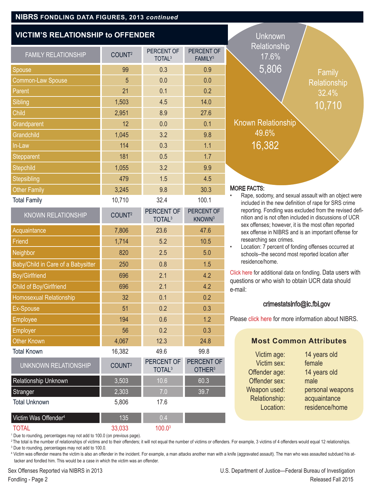#### **NIBRS FONDLING DATA FIGURES, 2013** *continued*

#### **VICTIM'S RELATIONSHIP to OFFENDER**

| <b>FAMILY RELATIONSHIP</b>         | COUNT <sup>2</sup> | PERCENT OF<br>TOTAL <sup>3</sup> | PERCENT OF<br>FAMILY <sup>3</sup> |                 |
|------------------------------------|--------------------|----------------------------------|-----------------------------------|-----------------|
| <b>Spouse</b>                      | 99                 | 0.3                              | 0.9                               |                 |
| Common-Law Spouse                  | 5                  | 0.0                              | 0.0                               |                 |
| Parent                             | 21                 | 0.1                              | 0.2                               |                 |
| Sibling                            | 1,503              | 4.5                              | 14.0                              |                 |
| Child                              | 2,951              | 8.9                              | 27.6                              |                 |
| Grandparent                        | 12                 | 0.0                              | 0.1                               |                 |
| Grandchild                         | 1,045              | 3.2                              | 9.8                               |                 |
| In-Law                             | 114                | 0.3                              | 1.1                               |                 |
| <b>Stepparent</b>                  | 181                | 0.5                              | 1.7                               |                 |
| Stepchild                          | 1,055              | 3.2                              | 9.9                               |                 |
| <b>Stepsibling</b>                 | 479                | 1.5                              | 4.5                               |                 |
| <b>Other Family</b>                | 3,245              | 9.8                              | 30.3                              | N               |
| <b>Total Family</b>                | 10,710             | 32.4                             | 100.1                             |                 |
| <b>KNOWN RELATIONSHIP</b>          | COUNT <sup>2</sup> | PERCENT OF<br>TOTAL <sup>3</sup> | PERCENT OF<br>KNOWN <sup>3</sup>  |                 |
| Acquaintance                       | 7,806              | 23.6                             | 47.6                              |                 |
| Friend                             | 1,714              | 5.2                              | 10.5                              |                 |
| Neighbor                           | 820                | 2.5                              | 5.0                               |                 |
| Baby/Child in Care of a Babysitter | 250                | 0.8                              | 1.5                               |                 |
| <b>Boy/Girlfriend</b>              | 696                | 2.1                              | 4.2                               | $\overline{C}$  |
| <b>Child of Boy/Girlfriend</b>     | 696                | 2.1                              | 4.2                               | q<br>$\ddot{e}$ |
| <b>Homosexual Relationship</b>     | 32                 | 0.1                              | 0.2                               |                 |
| Ex-Spouse                          | 51                 | 0.2                              | 0.3                               |                 |
| <b>Employee</b>                    | 194                | 0.6                              | 1.2                               | P               |
| <b>Employer</b>                    | 56                 | 0.2                              | 0.3                               |                 |
|                                    |                    |                                  |                                   |                 |

Total Known 16,382 49.6 99.8

Relationship Unknown 1 3,503 10.6 60.3 Stranger 2,303 **7.0 39.7** 

UNKNOWN RELATIONSHIP COUNT<sup>2</sup> PERCENT OF

Total Unknown 5,806 17.6

Victim Was Offender<sup>4</sup> 135 0.4  $\text{TOTAL}$  33,033  $\text{100.0}^3$ 

| <b>Unknown</b><br>Relationship<br>17.6%<br>5,806<br><b>Known Relationship</b><br>49.6%<br>16,382                                                                                                                                                                                                                                                  | Family<br><b>Relationship</b><br>32.4%<br><u>10,710</u> |
|---------------------------------------------------------------------------------------------------------------------------------------------------------------------------------------------------------------------------------------------------------------------------------------------------------------------------------------------------|---------------------------------------------------------|
| <b>MORE FACTS:</b>                                                                                                                                                                                                                                                                                                                                |                                                         |
| Rape, sodomy, and sexual assault with an object were<br>included in the new definition of rape for SRS crime<br>reporting. Fondling was excluded from the revised defi-<br>nition and is not often included in discussions of UCR<br>sex offenses; however, it is the most often reported<br>sex offense in NIBRS and is an important offense for |                                                         |

researching sex crimes. Location: 7 percent of fonding offenses occurred at schools--the second most reported location after residence/home.

lick here for additional data on fondling. Data users with questions or who wish to obtain UCR data should e-mail:

#### crimestatsinfo@ic.fbi.gov

Please [click here](https://www.fbi.gov/about-us/cjis/ucr/nibrs/2013/resources/frequently-asked-questions-about-nibrs-individual-agency-data) for more information about NIBRS.

#### **Most Common Attributes**

| Victim age:   | 14 years old     |
|---------------|------------------|
| Victim sex:   | female           |
| Offender age: | 14 years old     |
| Offender sex: | male             |
| Weapon used:  | personal weapons |
| Relationship: | acquaintance     |
| Location:     | residence/home   |
|               |                  |

<sup>1</sup> Due to rounding, percentages may not add to 100.0 (on previous page).

<sup>2</sup>The total is the number of relationships of victims and to their offenders; it will not equal the number of victims or offenders. For example, 3 victims of 4 offenders would equal 12 relationships. 3 Due to rounding, percentages may not add to 100.0.

PERCENT OF OTHER3

TOTAL3

4 Victim was offender means the victim is also an offender in the incident. For example, a man attacks another man with a knife (aggravated assault). The man who was assaulted subdued his attacker and fondled him. This would be a case in which the victim was an offender.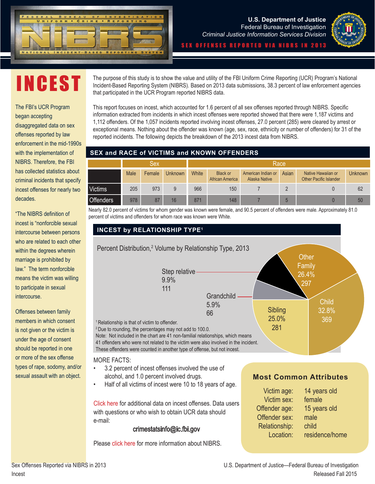



INCEST

The FBI's UCR Program began accepting disaggregated data on sex offenses reported by law enforcement in the mid-1990s with the implementation of NIBRS. Therefore, the FBI has collected statistics about criminal incidents that specify incest offenses for nearly two decades.

"The NIBRS definition of incest is "nonforcible sexual intercourse between persons who are related to each other within the degrees wherein marriage is prohibited by law." The term nonforcible means the victim was willing to participate in sexual intercourse.

Offenses between family members in which consent is not given or the victim is under the age of consent should be reported in one or more of the sex offense types of rape, sodomy, and/or sexual assault with an object.

The purpose of this study is to show the value and utility of the FBI Uniform Crime Reporting (UCR) Program's National Incident-Based Reporting System (NIBRS). Based on 2013 data submissions, 38.3 percent of law enforcement agencies that participated in the UCR Program reported NIBRS data.

This report focuses on incest, which accounted for 1.6 percent of all sex offenses reported through NIBRS. Specific information extracted from incidents in which incest offenses were reported showed that there were 1,187 victims and 1,112 offenders. Of the 1,057 incidents reported involving incest offenses, 27.0 percent (285) were cleared by arrest or exceptional means. Nothing about the offender was known (age, sex, race, ethnicity or number of offenders) for 31 of the reported incidents. The following depicts the breakdown of the 2013 incest data from NIBRS.

#### **SEX and RACE of VICTIMS and KNOWN OFFENDERS**

|                  | Sex  |        |                | Race         |                                    |                                            |       |                                                     |         |
|------------------|------|--------|----------------|--------------|------------------------------------|--------------------------------------------|-------|-----------------------------------------------------|---------|
|                  | Male | Female | <b>Unknown</b> | <b>White</b> | <b>Black or</b><br>African America | American Indian or<br><b>Alaska Native</b> | Asian | Native Hawaiian or<br><b>Other Pacific Islander</b> | Unknown |
| <b>Victims</b>   | 205  | 973    | 9              | 966          | 150                                |                                            |       |                                                     | 62      |
| <b>Offenders</b> | 978  | 87     | 16             | 871          | 148                                |                                            |       |                                                     | 50      |

Nearly 82.0 percent of victims for whom gender was known were female, and 90.5 percent of offenders were male. Approximately 81.0 percent of victims and offenders for whom race was known were White.



Please [click here](https://www.fbi.gov/about-us/cjis/ucr/nibrs/2013/resources/frequently-asked-questions-about-nibrs-individual-agency-data) for more information about NIBRS.